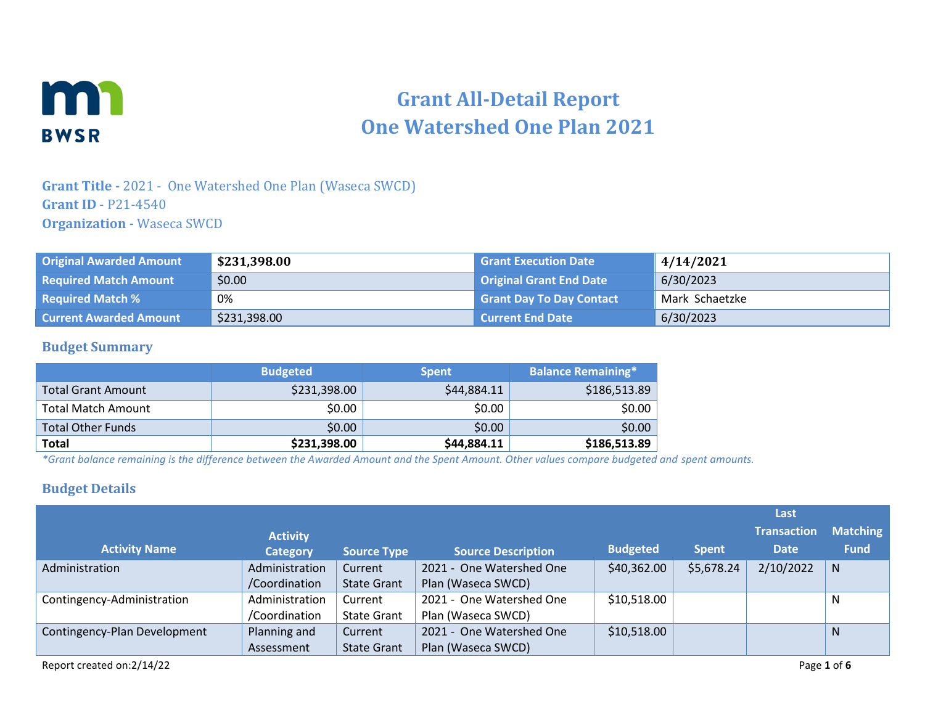

# **Grant All-Detail Report One Watershed One Plan 2021**

### **Grant Title -** 2021 - One Watershed One Plan (Waseca SWCD) **Grant ID** - P21-4540 **Organization -** Waseca SWCD

| <b>Original Awarded Amount</b> | \$231,398.00 | <b>Grant Execution Date</b>     | 4/14/2021      |
|--------------------------------|--------------|---------------------------------|----------------|
| <b>Required Match Amount</b>   | \$0.00       | <b>Original Grant End Date</b>  | 6/30/2023      |
| <b>Required Match %</b>        | 0%           | <b>Grant Day To Day Contact</b> | Mark Schaetzke |
| <b>Current Awarded Amount</b>  | \$231,398.00 | <b>Current End Date</b>         | 6/30/2023      |

#### **Budget Summary**

|                           | <b>Budgeted</b> | <b>Spent</b> | <b>Balance Remaining*</b> |
|---------------------------|-----------------|--------------|---------------------------|
| <b>Total Grant Amount</b> | \$231,398.00    | \$44,884.11  | \$186,513.89              |
| Total Match Amount        | \$0.00          | \$0.00       | \$0.00                    |
| <b>Total Other Funds</b>  | \$0.00          | \$0.00       | \$0.00                    |
| <b>Total</b>              | \$231,398.00    | \$44,884.11  | \$186,513.89              |

*\*Grant balance remaining is the difference between the Awarded Amount and the Spent Amount. Other values compare budgeted and spent amounts.*

#### **Budget Details**

|                              |                 |                    |                           |                 |              | Last               |                 |
|------------------------------|-----------------|--------------------|---------------------------|-----------------|--------------|--------------------|-----------------|
|                              | <b>Activity</b> |                    |                           |                 |              | <b>Transaction</b> | <b>Matching</b> |
| <b>Activity Name</b>         | <b>Category</b> | <b>Source Type</b> | <b>Source Description</b> | <b>Budgeted</b> | <b>Spent</b> | <b>Date</b>        | <b>Fund</b>     |
| Administration               | Administration  | Current            | 2021 - One Watershed One  | \$40,362.00     | \$5,678.24   | 2/10/2022          | N               |
|                              | /Coordination   | <b>State Grant</b> | Plan (Waseca SWCD)        |                 |              |                    |                 |
| Contingency-Administration   | Administration  | Current            | 2021 - One Watershed One  | \$10,518.00     |              |                    | N               |
|                              | /Coordination   | <b>State Grant</b> | Plan (Waseca SWCD)        |                 |              |                    |                 |
| Contingency-Plan Development | Planning and    | Current            | 2021 - One Watershed One  | \$10,518.00     |              |                    | N               |
|                              | Assessment      | <b>State Grant</b> | Plan (Waseca SWCD)        |                 |              |                    |                 |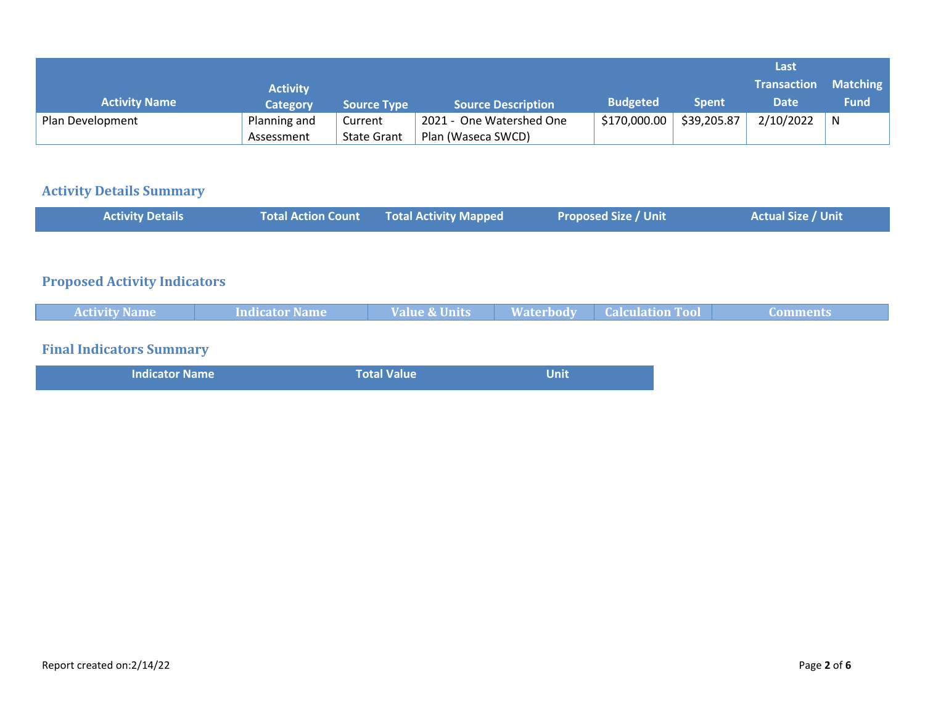|                      |                 |                    |                           |                 |              | Last               |                 |
|----------------------|-----------------|--------------------|---------------------------|-----------------|--------------|--------------------|-----------------|
|                      | <b>Activity</b> |                    |                           |                 |              | <b>Transaction</b> | <b>Matching</b> |
| <b>Activity Name</b> | Category        | <b>Source Type</b> | <b>Source Description</b> | <b>Budgeted</b> | <b>Spent</b> | <b>Date</b>        | <b>Fund</b>     |
| Plan Development     | Planning and    | Current            | 2021 - One Watershed One  | \$170,000.00    | \$39,205.87  | 2/10/2022          | N               |
|                      | Assessment      | <b>State Grant</b> | Plan (Waseca SWCD)        |                 |              |                    |                 |

## **Activity Details Summary**

| <b>Activity Details</b>             | <b>Total Action Count</b> | <b>Total Activity Mapped</b> |                  | <b>Proposed Size / Unit</b> | <b>Actual Size / Unit</b> |
|-------------------------------------|---------------------------|------------------------------|------------------|-----------------------------|---------------------------|
|                                     |                           |                              |                  |                             |                           |
| <b>Proposed Activity Indicators</b> |                           |                              |                  |                             |                           |
| <b>Activity Name</b>                | <b>Indicator Name</b>     | <b>Value &amp; Units</b>     | <b>Waterbody</b> | <b>Calculation Tool</b>     | <b>Comments</b>           |
| <b>Final Indicators Summary</b>     |                           |                              |                  |                             |                           |
| <b>Indicator Name</b>               |                           | <b>Total Value</b>           | <b>Unit</b>      |                             |                           |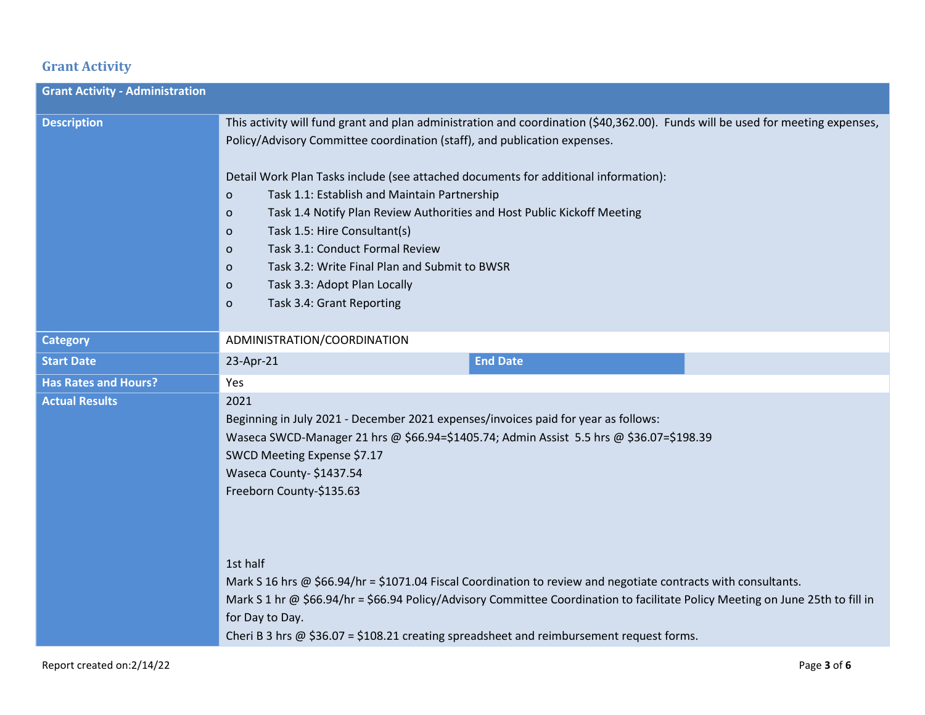## **Grant Activity**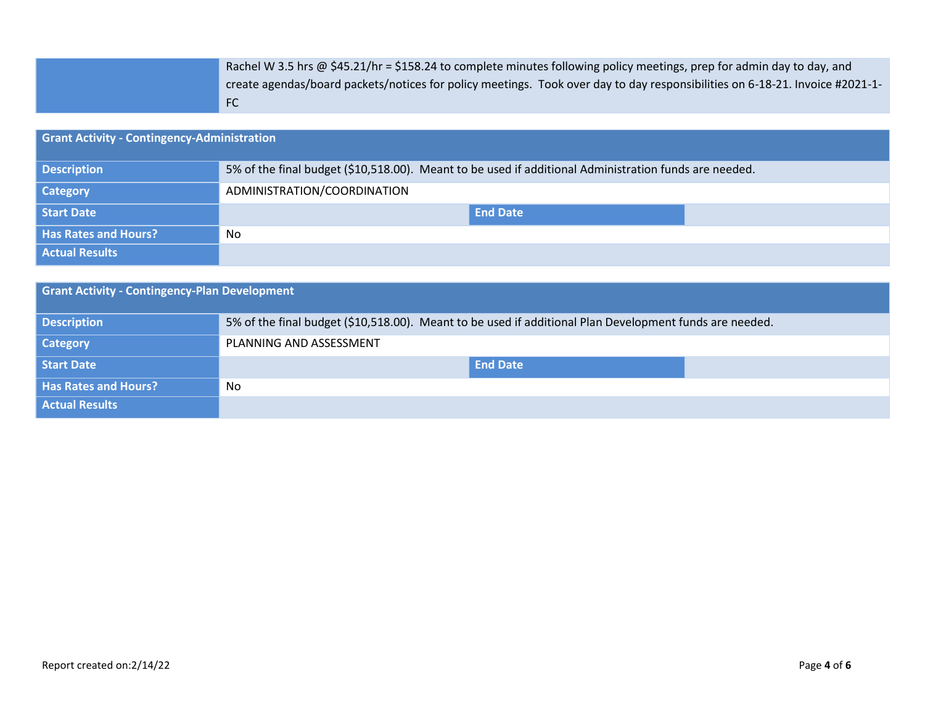| Rachel W 3.5 hrs @ \$45.21/hr = \$158.24 to complete minutes following policy meetings, prep for admin day to day, and         |
|--------------------------------------------------------------------------------------------------------------------------------|
| - create agendas/board packets/notices for policy meetings. Took over day to day responsibilities on 6-18-21. Invoice #2021-1- |
| -FC                                                                                                                            |

| <b>Grant Activity - Contingency-Administration</b> |                                                                                                       |  |  |  |
|----------------------------------------------------|-------------------------------------------------------------------------------------------------------|--|--|--|
| <b>Description</b>                                 | 5% of the final budget (\$10,518.00). Meant to be used if additional Administration funds are needed. |  |  |  |
| <b>Category</b>                                    | ADMINISTRATION/COORDINATION                                                                           |  |  |  |
| Start Date                                         | <b>End Date</b>                                                                                       |  |  |  |
| <b>Has Rates and Hours?</b>                        | No                                                                                                    |  |  |  |
| <b>Actual Results</b>                              |                                                                                                       |  |  |  |

| <b>Grant Activity - Contingency-Plan Development</b> |                                                                                                         |  |  |  |
|------------------------------------------------------|---------------------------------------------------------------------------------------------------------|--|--|--|
| <b>Description</b>                                   | 5% of the final budget (\$10,518.00). Meant to be used if additional Plan Development funds are needed. |  |  |  |
| <b>Category</b>                                      | PLANNING AND ASSESSMENT                                                                                 |  |  |  |
| Start Date                                           | <b>End Date</b>                                                                                         |  |  |  |
| <b>Has Rates and Hours?</b>                          | No                                                                                                      |  |  |  |
| <b>Actual Results</b>                                |                                                                                                         |  |  |  |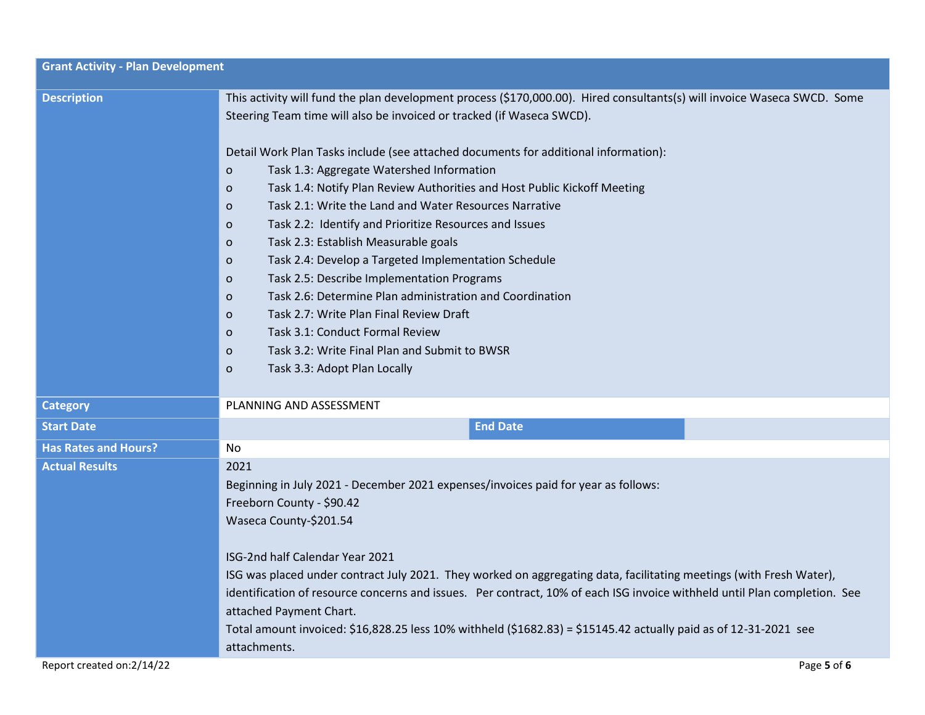| <b>Grant Activity - Plan Development</b> |                                                                                                                                                                                                                                                                                                                                                                                                                                                                                                                                                                                                                                                                                                                                                                                                                                                                                                                                                                                                                                                    |
|------------------------------------------|----------------------------------------------------------------------------------------------------------------------------------------------------------------------------------------------------------------------------------------------------------------------------------------------------------------------------------------------------------------------------------------------------------------------------------------------------------------------------------------------------------------------------------------------------------------------------------------------------------------------------------------------------------------------------------------------------------------------------------------------------------------------------------------------------------------------------------------------------------------------------------------------------------------------------------------------------------------------------------------------------------------------------------------------------|
| <b>Description</b>                       | This activity will fund the plan development process (\$170,000.00). Hired consultants(s) will invoice Waseca SWCD. Some<br>Steering Team time will also be invoiced or tracked (if Waseca SWCD).<br>Detail Work Plan Tasks include (see attached documents for additional information):<br>Task 1.3: Aggregate Watershed Information<br>$\circ$<br>Task 1.4: Notify Plan Review Authorities and Host Public Kickoff Meeting<br>$\circ$<br>Task 2.1: Write the Land and Water Resources Narrative<br>$\circ$<br>Task 2.2: Identify and Prioritize Resources and Issues<br>$\circ$<br>Task 2.3: Establish Measurable goals<br>$\circ$<br>Task 2.4: Develop a Targeted Implementation Schedule<br>$\circ$<br>Task 2.5: Describe Implementation Programs<br>$\circ$<br>Task 2.6: Determine Plan administration and Coordination<br>$\circ$<br>Task 2.7: Write Plan Final Review Draft<br>$\circ$<br>Task 3.1: Conduct Formal Review<br>$\circ$<br>Task 3.2: Write Final Plan and Submit to BWSR<br>$\circ$<br>Task 3.3: Adopt Plan Locally<br>$\circ$ |
| <b>Category</b>                          | PLANNING AND ASSESSMENT                                                                                                                                                                                                                                                                                                                                                                                                                                                                                                                                                                                                                                                                                                                                                                                                                                                                                                                                                                                                                            |
| <b>Start Date</b>                        | <b>End Date</b>                                                                                                                                                                                                                                                                                                                                                                                                                                                                                                                                                                                                                                                                                                                                                                                                                                                                                                                                                                                                                                    |
| <b>Has Rates and Hours?</b>              | No                                                                                                                                                                                                                                                                                                                                                                                                                                                                                                                                                                                                                                                                                                                                                                                                                                                                                                                                                                                                                                                 |
| <b>Actual Results</b>                    | 2021<br>Beginning in July 2021 - December 2021 expenses/invoices paid for year as follows:<br>Freeborn County - \$90.42<br>Waseca County-\$201.54<br>ISG-2nd half Calendar Year 2021<br>ISG was placed under contract July 2021. They worked on aggregating data, facilitating meetings (with Fresh Water),<br>identification of resource concerns and issues. Per contract, 10% of each ISG invoice withheld until Plan completion. See<br>attached Payment Chart.<br>Total amount invoiced: \$16,828.25 less 10% withheld (\$1682.83) = \$15145.42 actually paid as of 12-31-2021 see<br>attachments.                                                                                                                                                                                                                                                                                                                                                                                                                                            |
| Report created on:2/14/22                | Page 5 of 6                                                                                                                                                                                                                                                                                                                                                                                                                                                                                                                                                                                                                                                                                                                                                                                                                                                                                                                                                                                                                                        |